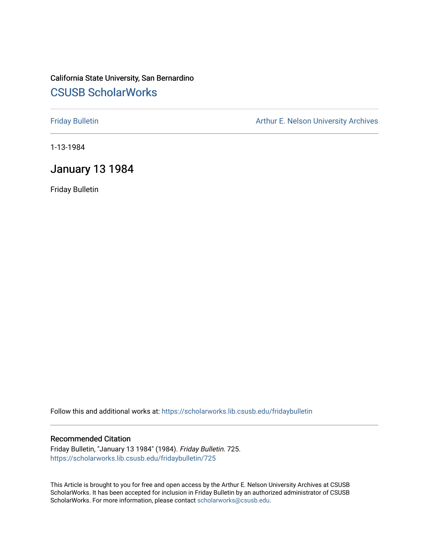# California State University, San Bernardino [CSUSB ScholarWorks](https://scholarworks.lib.csusb.edu/)

[Friday Bulletin](https://scholarworks.lib.csusb.edu/fridaybulletin) **Arthur E. Nelson University Archives** Arthur E. Nelson University Archives

1-13-1984

# January 13 1984

Friday Bulletin

Follow this and additional works at: [https://scholarworks.lib.csusb.edu/fridaybulletin](https://scholarworks.lib.csusb.edu/fridaybulletin?utm_source=scholarworks.lib.csusb.edu%2Ffridaybulletin%2F725&utm_medium=PDF&utm_campaign=PDFCoverPages)

### Recommended Citation

Friday Bulletin, "January 13 1984" (1984). Friday Bulletin. 725. [https://scholarworks.lib.csusb.edu/fridaybulletin/725](https://scholarworks.lib.csusb.edu/fridaybulletin/725?utm_source=scholarworks.lib.csusb.edu%2Ffridaybulletin%2F725&utm_medium=PDF&utm_campaign=PDFCoverPages)

This Article is brought to you for free and open access by the Arthur E. Nelson University Archives at CSUSB ScholarWorks. It has been accepted for inclusion in Friday Bulletin by an authorized administrator of CSUSB ScholarWorks. For more information, please contact [scholarworks@csusb.edu.](mailto:scholarworks@csusb.edu)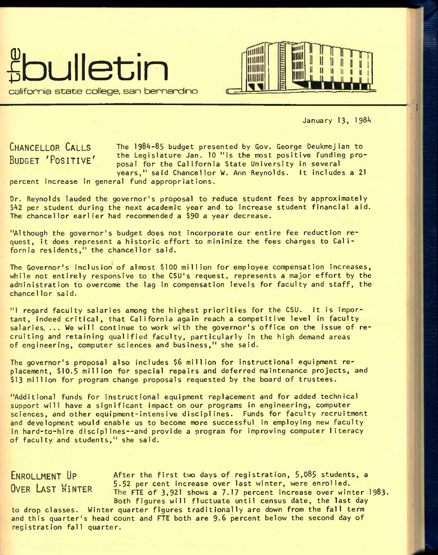



January 13, 1984

**CHANCELLOR CALLS BUDGET 'POSITIVE'**  The 1984-85 budget presented by Gov. George Deukmejian to the Legislature Jan. 10 "is the most positive funding proposal for the California State University in several years," said Chancellor W. Ann Reynolds. It includes a 21

percent increase In general fund appropriations.

Dr. Reynolds lauded the governor's proposal to reduce student fees by approximately \$42 per student during the next academic year and to increase student financial aid. The chancellor earlier had recommended a \$90 a year decrease.

"Although the governor's budget does not incorporate our entire fee reduction request, it does represent a historic effort to minimize the fees charges to California residents," the chancellor said.

The Governor's inclusion' of almost \$100 million for employee compensation increases, while not entirely responsive to the CSU's request, represents a major effort by the administration to overcome the lag in compensation levels for faculty and staff, the chancellor said.

"I regard faculty salaries among the highest priorities for the CSU. It is important, indeed critical, that California again reach a competitive level in faculty salaries. ... We will continue to work with the governor's office on the issue of recruiting and retaining qualified faculty, particularly in the high demand areas of engineering, computer sciences and business," she said.

The governor's proposal also includes \$6 million for instructional equipment replacement, **\$10.5** million for special repairs and deferred maintenance projects, and \$13 million for program change proposals requested by the board of trustees.

"Additional funds for instructional equipment replacement and for added technical support will have a significant Impact on our programs in engineering, computer sciences, and other equipment-intensive disciplines. Funds for faculty recruitment and development would enable us to become more successful in employing new faculty in hard-to-hire disciplines--and provide a program for improving computer literacy of faculty and students," she said.

**ENROLLMENT UP** After the first two days of registration, 5,085 students, a OVER LAST WINTER  $\frac{5.52 \text{ per cent increase over last winter, were enrolled.}}{The ET of 3.93 takes a 7.17 nearest increase over time.}$ The FTE of 3,921 shows a 7.17 percent increase over winter 1983. Both figures will fluctuate until census date, the last day

to drop classes. Winter quarter figures traditionally are down from the fall term and this quarter's head count and FTE both are 9.6 percent below the second day of registration fall quarter.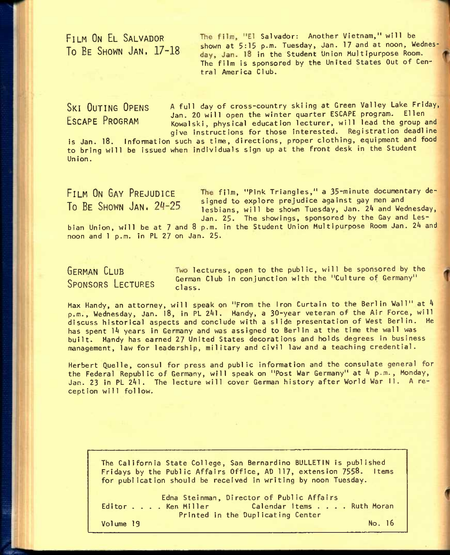FILM ON EL SALVADOR The film, "El Salvador: Another Vietnam," will be **The CALINSON**<br>To BE SHOWN JAN, 17-18 shown at 5:15 p.m. Tuesday, Jan. 17 and at noon, Wednesday, Jan. 18 in the Student Union Multipurpose Room. The film is sponsored by the United States Out of Central America Club.

SKI OUTING OPENS A full day of cross-country skiing at Green Valley Lake Friday, Let the state of the Jan. 20 will open the winter quarter ESCAPE program.<br>ESCAPE PROGRAM Kovalski, physical education lecturer, will lead the o Kowalski, physical education lecturer, will lead the group and give instructions for those interested. Registration deadline

is Jan. 18. Information such as time, directions, proper clothing, equipment and food to bring will be issued when individuals sign up at the front desk in the Student Un ion.

**FILM ON GAY PREJUDICE** film, "pink Triangles," a **35**-minute documentary de- **The SHOWN** JAN: 24-25 signed to explore prejudice against gay men and vertext of the SHOWN JAN: 24-25 and vertext and vertext of the Shown Tuesday Jan 24 and vertext lesbians, will be shown Tuesday, Jan. 24 and Wednesday, Jan. 25. The showings, sponsored by the Gay and Lesbian Union, will be at 7 and 8 p.m. in the Student Union Multipurpose Room Jan. *2k* and noon and 1 p.m. in PL 27 on Jan. 25.

# SPONSORS LECTURES class.

GERMAN CLUB **Two lectures, open to the public, will be sponsored by the** German Club in conjunction with the "Culture of Germany"

Max Handy, an attorney, will speak on "From the Iron Curtain to the Berlin Wall" at 4 p.m., Wednesday, Jan. 18, in PL 241. Handy, a 30-year veteran of the Air Force, will discuss historical aspects and conclude with a slide presentation of West Berlin. He has spent *Ik* years in Germany and was assigned to Berlin at the time the wall was built. Handy has earned 27 United States decorations and holds degrees in business management, law for leadership, military and civil law and a teaching credential.

Herbert Quelle, consul for press and public information and the consulate general for the Federal Republic of Germany, will speak on "Post War Germany" at *k* p.m., Monday, Jan. 23 in PL 241. The lecture will cover German history after World War II. A reception wi11 follow.

The California State College, San Bernardino BULLETIN is published Fridays by the Public Affairs Office, AD 117, extension 7558. Items for publication should be received in writing by noon Tuesday.

Edna Steinman, Director of Public Affairs<br>Editor . . . . Ken Miller Calendar Items . . . . Ruth Moran Printed in the Duplicating Center

Volume 19 No. 16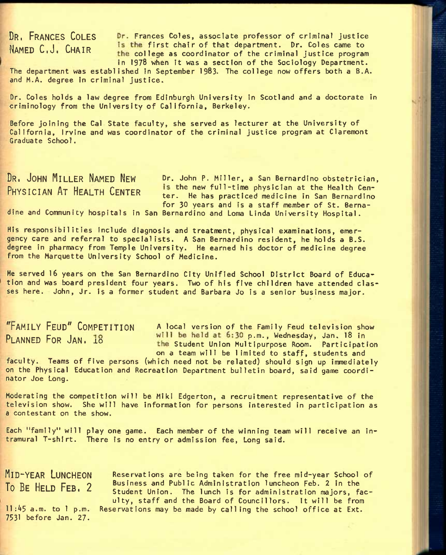DR. FRANCES COLES Dr. Frances Coles, associate professor of criminal justice NAMED C.J. CHAIR **Is the first chair of that department.** Dr. Coles came to the college as coordinator of the criminal justice program in 1978 when it was a section of the Sociology Department.

The department was established in September 1983. The college now offers both a B.A. and M.A. degree In criminal justice.

Dr. Coles holds a law degree from Edinburgh University in Scotland and a doctorate in criminology from the University of California, Berkeley.

Before joining the Cal State faculty, she served as lecturer at the University of California, Irvine and was coordinator of the criminal justice program at Claremont Graduate School.

DR<sub>**i**</sub> JOHN MILLER NAMED NEW Dr. John P. Miller, a San Bernardino obstetrician, **PHYSICIAN AT HEALTH CENTER** is the new full-time physician at the Health Center. He has practiced medicine in San Bernardino for 30 years and is a staff member of St. Berna-

dine and Community hospitals in San Bernardino and Loma Linda University Hospital.

His responsibilities include diagnosis and treatment, physical examinations, emergency care and referral to specialists. A San Bernardino resident, he holds a B.S. degree in pharmacy from Temple University. He earned his doctor of medicine degree from the Marquette University School of Medicine.

He served **16** years on the San Bernardino City Unified School District Board of Education and was board president four years. Two of his five children have attended classes here. John, Jr. is a former student and Barbara Jo is a senior business major.

"FAMILY FEUD" COMPETITION A local version of the Family Feud television show **PLANNED FOR JAN. 18** Will be held at 6:30 p.m., Wednesday, Jan. 18 in the Student Union Multipurpose Room. Participation on a team will be limited to staff, students and

faculty. Teams of five persons (which need not be related) should sign up immediately on the Physical Education and Recreation Department bulletin board, said game coordinator Joe Long.

Moderating the competition will be MIki Edgerton, a recruitment representative of the television show. She will have information for persons interested in participation as a contestant on the show.

Each "family" will play one game. Each member of the winning team will receive an intramural T-shirt. There is no entry or admission fee. Long said.

**MID-YEAR LUNCHEON RESERVAT** ions are being taken for the free mid-year School of To BE HELD FEB, 2 Business and Public Administration luncheon Feb. 2 in the Student Union. The lunch is for administration majors, faculty, staff and the Board of Councillors. it will be from  $11:45$  a.m. to 1 p.m. Reservations may be made by calling the school office at Ext.

7531 before Jan. 27.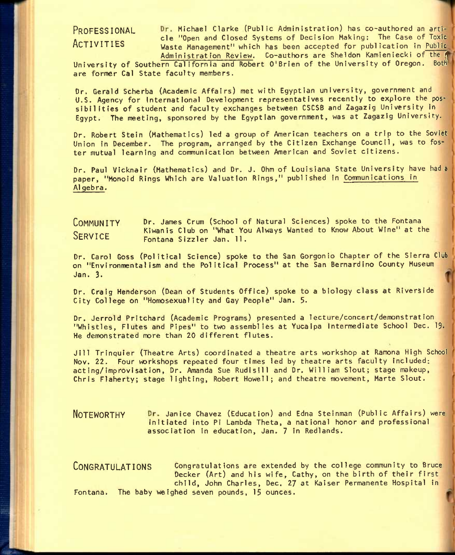PROFESSIONAL Dr. Michael Clarke (Public Administration) has co-authored an arti-. cle "Open and Closed Systems of Decision Making: The Case of Toxic<br>ACTIVITIES Waste Management Which has been accepted for publication in Public Waste Management" which has been accepted for publication in Public Administration Review. Co-authors are Sheldon Kamieniecki of the 4

University of Southern California and Robert O'Brien of the University of Oregon. Both are former Cal State faculty members.

Dr. Gerald Scherba (Academic Affairs) met with Egyptian university, government and U.S. Agency for International Development representatives recently to explore the possibilities of student and faculty exchanges between CSCSB and Zagazig University in Egypt. The meeting, sponsored by the Egyptian government, was at Zagazig University.

Dr. Robert Stein (Mathematics) led a group of American teachers on a trip to the Soviet Union in December. The program, arranged by the Citizen Exchange Council, was to foster mutual learning and communication between American and Soviet citizens.

Dr. Paul Vicknair (Mathematics) and Dr. J. Ohm of Louisiana State University have had a paper, "Monoid Rings Which are Valuation Rings," published in Communications in A1 gebra.

Dr. James Crum (School of Natural Sciences) spoke to the Fontana Kiwanis Club on "What You Always Wanted to Know About Wine" at the Fontana Sizzler Jan. 11. **COMMUNITY SERVICE** 

Dr. Carol Goss (Political Science) spoke to the San Gorgonio Chapter of the Sierra Club on "Environmental ism and the Political Process" at the San Bernardino County Museum Jan. 3.

Dr. Craig Henderson (Dean of Students Office) spoke to a biology class at Riverside City College on "Homosexuality and Gay People" Jan. 5-

Dr. Jerrold Pritchard (Academic Programs) presented a lecture/concert/demonstration "Whistles, Flutes and Pipes" to two assemblies at Yucaipa Intermediate School Dec. 19. He demonstrated more than 20 different flutes.

Jill Trinquier (Theatre Arts) coordinated a theatre arts workshop at Ramona High School Nov. 22. Four workshops repeated four times led by theatre arts faculty included: acting/improvisation, Dr. Amanda Sue Rudisill and Dr. William Slout; stage makeup, Chris Flaherty; stage lighting, Robert Howell; and theatre movement, Marte Slout.

**NOTEWORTHY** Janice Chavez (Education) and Edna Steinman (Public Affairs) were initiated into PI Lambda Theta, a national honor and professional association In education, Jan. 7 in Redlands.

CONGRATULATIONS Congratulations are extended by the college community to Bruce Decker (Art) and his wife, Cathy, on the birth of their first child, John Charles, Dec. 27 at Kaiser Permanente Hospital In Fontana. The baby weighed seven pounds, 15 ounces.